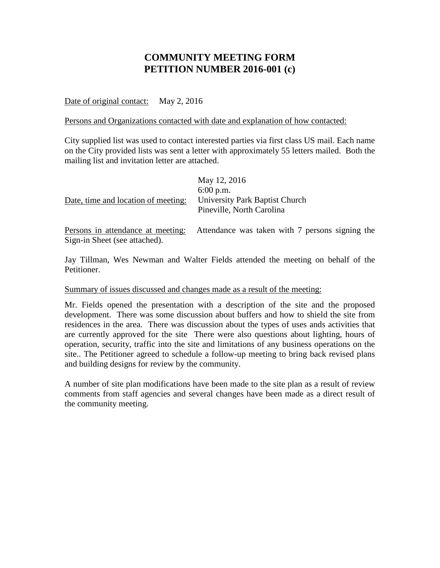## **COMMUNITY MEETING FORM PETITION NUMBER 2016-001 (c)**

Date of original contact: May 2, 2016

Persons and Organizations contacted with date and explanation of how contacted:

City supplied list was used to contact interested parties via first class US mail. Each name on the City provided lists was sent a letter with approximately 55 letters mailed. Both the mailing list and invitation letter are attached.

| Date, time and location of meeting:                                | May 12, 2016<br>$6:00$ p.m.<br>University Park Baptist Church<br>Pineville, North Carolina |
|--------------------------------------------------------------------|--------------------------------------------------------------------------------------------|
| Persons in attendance at meeting:<br>Sign-in Sheet (see attached). | Attendance was taken with 7 persons signing the                                            |

Jay Tillman, Wes Newman and Walter Fields attended the meeting on behalf of the Petitioner.

## Summary of issues discussed and changes made as a result of the meeting:

Mr. Fields opened the presentation with a description of the site and the proposed development. There was some discussion about buffers and how to shield the site from residences in the area. There was discussion about the types of uses ands activities that are currently approved for the site There were also questions about lighting, hours of operation, security, traffic into the site and limitations of any business operations on the site.. The Petitioner agreed to schedule a follow-up meeting to bring back revised plans and building designs for review by the community.

A number of site plan modifications have been made to the site plan as a result of review comments from staff agencies and several changes have been made as a direct result of the community meeting.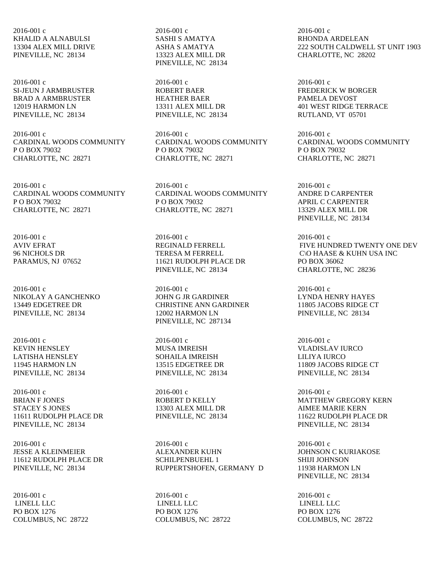2016-001 c KHALID A ALNABULSI 13304 ALEX MILL DRIVE PINEVILLE, NC 28134

2016-001 c SI-JEUN J ARMBRUSTER BRAD A ARMBRUSTER 12019 HARMON LN PINEVILLE, NC 28134

2016-001 c CARDINAL WOODS COMMUNITY P O BOX 79032 CHARLOTTE, NC 28271

2016-001 c CARDINAL WOODS COMMUNITY P O BOX 79032 CHARLOTTE, NC 28271

2016-001 c AVIV EFRAT 96 NICHOLS DR PARAMUS, NJ 07652

2016-001 c NIKOLAY A GANCHENKO 13449 EDGETREE DR PINEVILLE, NC 28134

2016-001 c KEVIN HENSLEY LATISHA HENSLEY 11945 HARMON LN PINEVILLE, NC 28134

2016-001 c BRIAN F JONES STACEY S JONES 11611 RUDOLPH PLACE DR PINEVILLE, NC 28134

2016-001 c JESSE A KLEINMEIER 11612 RUDOLPH PLACE DR PINEVILLE, NC 28134

2016-001 c LINELL LLC PO BOX 1276 COLUMBUS, NC 28722

2016-001 c SASHI S AMATYA ASHA S AMATYA 13323 ALEX MILL DR PINEVILLE, NC 28134

2016-001 c ROBERT BAER HEATHER BAER 13311 ALEX MILL DR PINEVILLE, NC 28134

2016-001 c CARDINAL WOODS COMMUNITY P O BOX 79032 CHARLOTTE, NC 28271

2016-001 c CARDINAL WOODS COMMUNITY P O BOX 79032 CHARLOTTE, NC 28271

2016-001 c REGINALD FERRELL TERESA M FERRELL 11621 RUDOLPH PLACE DR PINEVILLE, NC 28134

2016-001 c JOHN G JR GARDINER CHRISTINE ANN GARDINER 12002 HARMON LN PINEVILLE, NC 287134

2016-001 c MUSA IMREISH SOHAILA IMREISH 13515 EDGETREE DR PINEVILLE, NC 28134

2016-001 c ROBERT D KELLY 13303 ALEX MILL DR PINEVILLE, NC 28134

2016-001 c ALEXANDER KUHN SCHILPENBUEHL 1 RUPPERTSHOFEN, GERMANY D

2016-001 c LINELL LLC PO BOX 1276 COLUMBUS, NC 28722

2016-001 c RHONDA ARDELEAN 222 SOUTH CALDWELL ST UNIT 1903 CHARLOTTE, NC 28202

2016-001 c FREDERICK W BORGER PAMELA DEVOST 401 WEST RIDGE TERRACE RUTLAND, VT 05701

2016-001 c CARDINAL WOODS COMMUNITY P O BOX 79032 CHARLOTTE, NC 28271

2016-001 c ANDRE D CARPENTER APRIL C CARPENTER 13329 ALEX MILL DR PINEVILLE, NC 28134

2016-001 c FIVE HUNDRED TWENTY ONE DEV C\O HAASE & KUHN USA INC PO BOX 36062 CHARLOTTE, NC 28236

2016-001 c LYNDA HENRY HAYES 11805 JACOBS RIDGE CT PINEVILLE, NC 28134

2016-001 c VLADISLAV IURCO LILIYA IURCO 11809 JACOBS RIDGE CT PINEVILLE, NC 28134

2016-001 c MATTHEW GREGORY KERN AIMEE MARIE KERN 11622 RUDOLPH PLACE DR PINEVILLE, NC 28134

2016-001 c JOHNSON C KURIAKOSE SHIJI JOHNSON 11938 HARMON LN PINEVILLE, NC 28134

2016-001 c LINELL LLC PO BOX 1276 COLUMBUS, NC 28722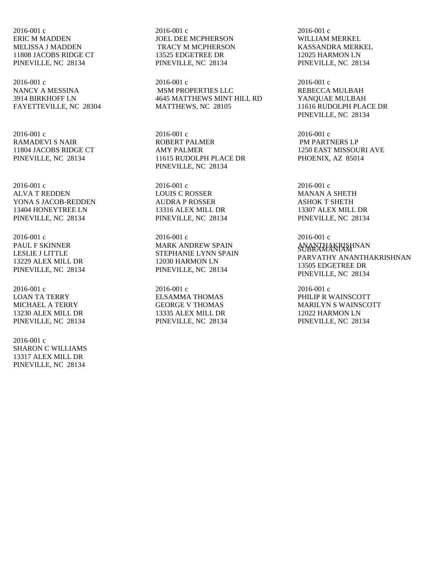2016-001 c ERIC M MADDEN MELISSA J MADDEN 11808 JACOBS RIDGE CT PINEVILLE, NC 28134

2016-001 c NANCY A MESSINA 3914 BIRKHOFF LN FAYETTEVILLE, NC 28304

2016-001 c RAMADEVI S NAIR 11804 JACOBS RIDGE CT PINEVILLE, NC 28134

2016-001 c ALVA T REDDEN YONA S JACOB-REDDEN 13404 HONEYTREE LN PINEVILLE, NC 28134

2016-001 c PAUL F SKINNER LESLIE J LITTLE 13229 ALEX MILL DR PINEVILLE, NC 28134

2016-001 c LOAN TA TERRY MICHAEL A TERRY 13230 ALEX MILL DR PINEVILLE, NC 28134

2016-001 c SHARON C WILLIAMS 13317 ALEX MILL DR PINEVILLE, NC 28134

2016-001 c JOEL DEE MCPHERSON TRACY M MCPHERSON 13525 EDGETREE DR PINEVILLE, NC 28134

2016-001 c MSM PROPERTIES LLC 4645 MATTHEWS MINT HILL RD MATTHEWS, NC 28105

2016-001 c ROBERT PALMER AMY PALMER 11615 RUDOLPH PLACE DR PINEVILLE, NC 28134

2016-001 c LOUIS C ROSSER AUDRA P ROSSER 13316 ALEX MILL DR PINEVILLE, NC 28134

2016-001 c MARK ANDREW SPAIN STEPHANIE LYNN SPAIN 12030 HARMON LN PINEVILLE, NC 28134

2016-001 c ELSAMMA THOMAS GEORGE V THOMAS 13335 ALEX MILL DR PINEVILLE, NC 28134

2016-001 c WILLIAM MERKEL KASSANDRA MERKEL 12025 HARMON LN PINEVILLE, NC 28134

2016-001 c REBECCA MULBAH YANQUAE MULBAH 11616 RUDOLPH PLACE DR PINEVILLE, NC 28134

2016-001 c PM PARTNERS LP 1250 EAST MISSOURI AVE PHOENIX, AZ 85014

2016-001 c MANAN A SHETH ASHOK T SHETH 13307 ALEX MILL DR PINEVILLE, NC 28134

2016-001 c ANANTHAKRISHNAN SUBRAMANIAM PARVATHY ANANTHAKRISHNAN 13505 EDGETREE DR PINEVILLE, NC 28134

2016-001 c PHILIP R WAINSCOTT MARILYN S WAINSCOTT 12022 HARMON LN PINEVILLE, NC 28134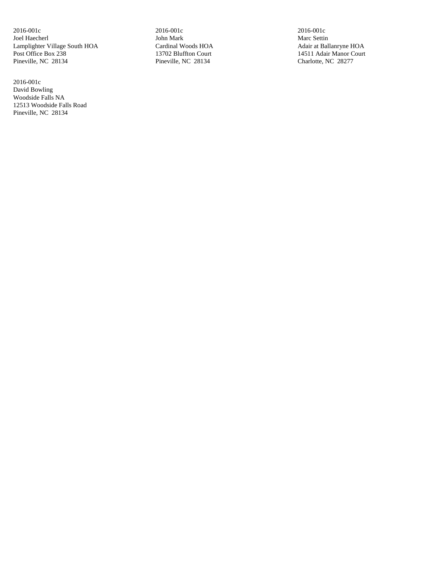2016-001c Joel Haecherl Lamplighter Village South HOA Post Office Box 238 Pineville, NC 28134

2016-001c David Bowling Woodside Falls NA 12513 Woodside Falls Road Pineville, NC 28134

2016-001c John Mark Cardinal Woods HOA 13702 Bluffton Court Pineville, NC 28134

2016-001c Marc Settin Adair at Ballanryne HOA 14511 Adair Manor Court Charlotte, NC 28277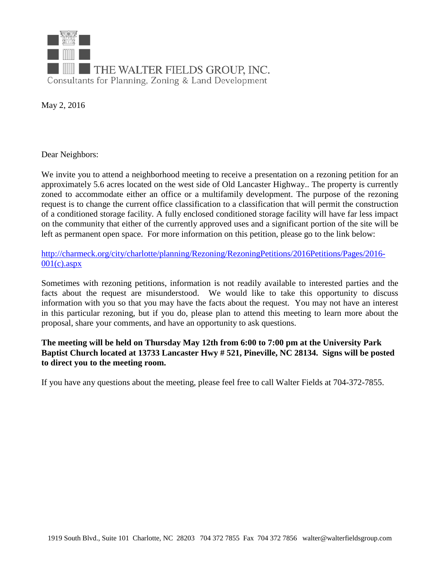

May 2, 2016

Dear Neighbors:

We invite you to attend a neighborhood meeting to receive a presentation on a rezoning petition for an approximately 5.6 acres located on the west side of Old Lancaster Highway.. The property is currently zoned to accommodate either an office or a multifamily development. The purpose of the rezoning request is to change the current office classification to a classification that will permit the construction of a conditioned storage facility. A fully enclosed conditioned storage facility will have far less impact on the community that either of the currently approved uses and a significant portion of the site will be left as permanent open space. For more information on this petition, please go to the link below:

[http://charmeck.org/city/charlotte/planning/Rezoning/RezoningPetitions/2016Petitions/Pages/2016-](http://charmeck.org/city/charlotte/planning/Rezoning/RezoningPetitions/2016Petitions/Pages/2016-001(c).aspx)  $001(c)$ .aspx

Sometimes with rezoning petitions, information is not readily available to interested parties and the facts about the request are misunderstood. We would like to take this opportunity to discuss information with you so that you may have the facts about the request. You may not have an interest in this particular rezoning, but if you do, please plan to attend this meeting to learn more about the proposal, share your comments, and have an opportunity to ask questions.

## **The meeting will be held on Thursday May 12th from 6:00 to 7:00 pm at the University Park Baptist Church located at 13733 Lancaster Hwy # 521, Pineville, NC 28134. Signs will be posted to direct you to the meeting room.**

If you have any questions about the meeting, please feel free to call Walter Fields at 704-372-7855.